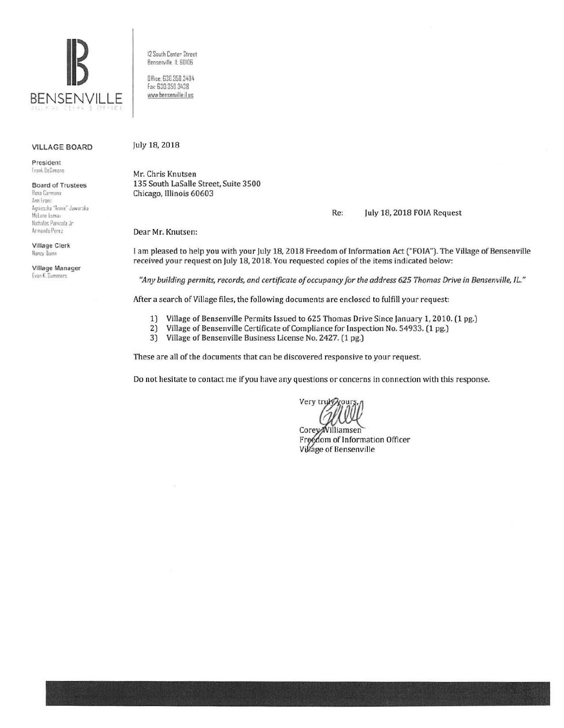

**VILLAGE BOARD** 

President Frank DeSimone

**Board of Trustees** 

**Rosa Carmona** Ann Franz Annieszka "Annie" Jaworska Mclane Lomax Nicholas Panicola Jr. Armando Perez

**Village Clerk** Nancy Dunn

Village Manager **Evan K. Summers** 

12 South Center Street Bensenville, IL 60106

Office: 630.350.3404 Fax: 630 350 3438 www.bensenville.il us

#### July 18, 2018

Mr. Chris Knutsen 135 South LaSalle Street, Suite 3500 Chicago, Illinois 60603

#### July 18, 2018 FOIA Request Re:

Dear Mr. Knutsen:

I am pleased to help you with your July 18, 2018 Freedom of Information Act ("FOIA"). The Village of Bensenville received your request on July 18, 2018. You requested copies of the items indicated below:

"Any building permits, records, and certificate of occupancy for the address 625 Thomas Drive in Bensenville, IL."

After a search of Village files, the following documents are enclosed to fulfill your request:

- Village of Bensenville Permits Issued to 625 Thomas Drive Since January 1, 2010. (1 pg.)  $1)$
- $21$ Village of Bensenville Certificate of Compliance for Inspection No. 54933. (1 pg.)
- 3) Village of Bensenville Business License No. 2427. (1 pg.)

These are all of the documents that can be discovered responsive to your request.

Do not hesitate to contact me if you have any questions or concerns in connection with this response.

Very truly your

Corey/Williamsen Freedom of Information Officer Village of Bensenville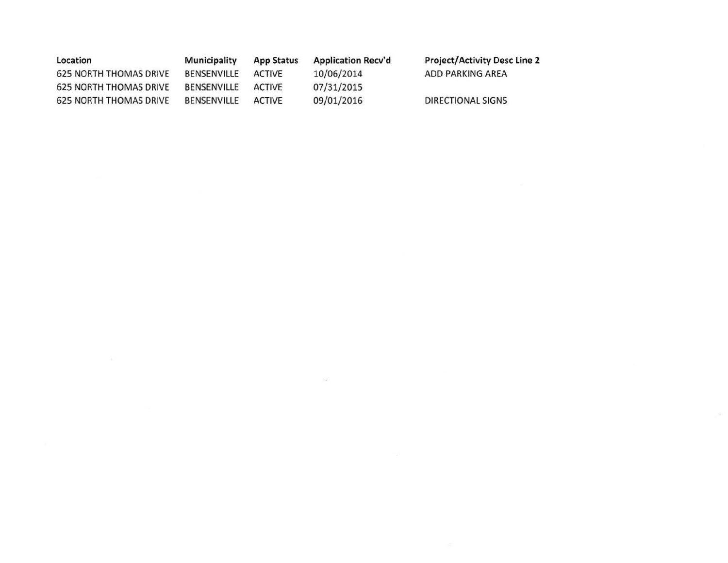| Location                      | <b>Municipality</b> | <b>App Status</b> | <b>Application Recv'd</b> | <b>Project/Activity Desc Line 2</b> |
|-------------------------------|---------------------|-------------------|---------------------------|-------------------------------------|
| 625 NORTH THOMAS DRIVE        | BENSENVILLE         | ACTIVE            | 10/06/2014                | ADD PARKING AREA                    |
| <b>625 NORTH THOMAS DRIVE</b> | BENSENVILLE         | ACTIVE            | 07/31/2015                |                                     |
| <b>625 NORTH THOMAS DRIVE</b> | BENSENVILLE         | ACTIVE            | 09/01/2016                | DIRECTIONAL SIGNS                   |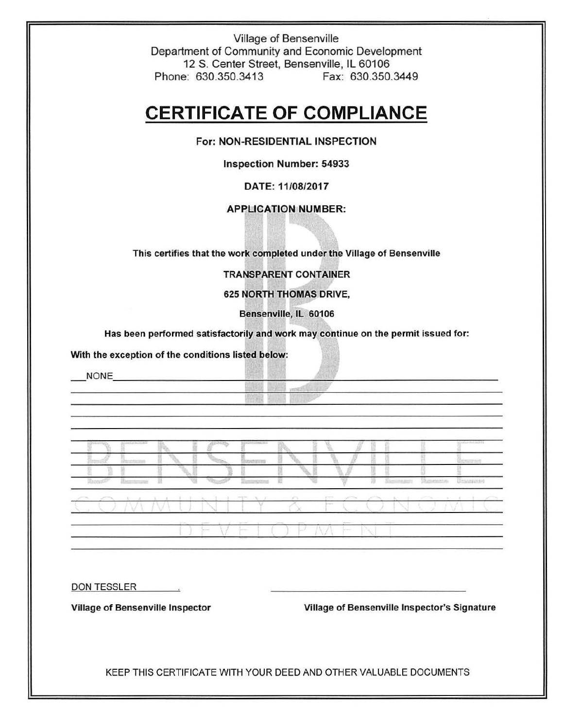Village of Bensenville Department of Community and Economic Development 12 S. Center Street, Bensenville, IL 60106 Phone: 630.350.3413 Fax: 630.350.3449

# **CERTIFICATE OF COMPLIANCE**

## For: NON-RESIDENTIAL INSPECTION

Inspection Number: 54933

DATE: 11/08/2017

## APPLICATION NUMBER:

This certifies that the work completed under the Village of Bensenville

TRANSPARENT CONTAINER

## 625 NORTH THOMAS DRIVE,

Bensenville, IL 60106

Has been performed satisfactorily and work may continue on the permit issued for:

With the exception of the conditions listed below:

NONE **NONE** 

m

DON TESSLER

Village of Bensenville Inspector Village of Bensenville Inspector's Signature

KEEP THIS CERTIFICATE WITH YOUR DEED AND OTHER VALUABLE DOCUMENTS